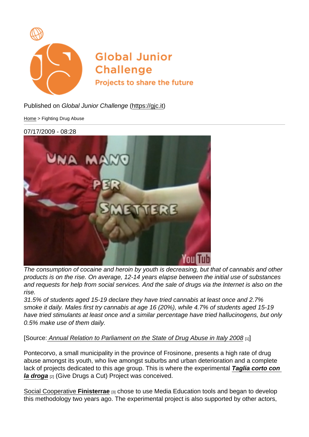Published on Global Junior Challenge [\(https://gjc.it\)](https://gjc.it)

[Home](https://gjc.it/en) > Fighting Drug Abuse

07/17/2009 - 08:28

The consumption of cocaine and heroin by youth is decreasing, but that of cannabis and other products is on the rise. On average, 12-14 years elapse between the initial use of substances and requests for help from social services. And the sale of drugs via the Internet is also on the rise.

31.5% of students aged 15-19 declare they have tried cannabis at least once and 2.7% smoke it daily. Males first try cannabis at age 16 (20%), while 4.7% of students aged 15-19 have tried stimulants at least once and a similar percentage have tried hallucinogens, but only 0.5% make use of them daily.

## [Source: [Annual Relation to Parliament on the State of Drug Abuse in Italy 2008](http://www.palazzochigi.it/GovernoInforma/Dossier/relazione_droga_2008/relazione_droga_2008.pdf) [1]]

Pontecorvo, a small municipality in the province of Frosinone, presents a high rate of drug abuse amongst its youth, who live amongst suburbs and urban deterioration and a complete lack of projects dedicated to this age group. This is where the experimental Taglia corto con la droga [2] (Give Drugs a Cut) Project was conceived.

[Social Cooperative Finisterrae](http://www.coopfinisterrae.it/) [3] chose to use Media Education tools and began to develop this methodology two years ago. The experimental project is also supported by other actors,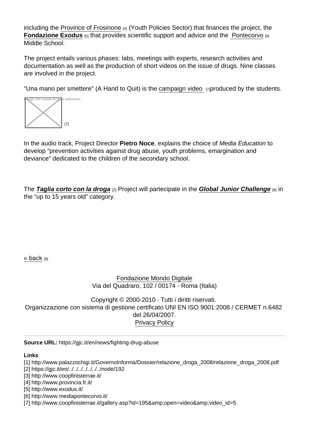including the [Province of Frosinone](http://www.provincia.fr.it/) [4] (Youth Policies Sector) that finances the project, the [Fondazione Exodus](http://www.exodus.it/)  $_{[5]}$  that provides scientific support and advice and the [Pontecorvo](http://www.mediapontecorvo.it/)  $_{[6]}$ Middle School.

The project entails various phases: labs, meetings with experts, research activities and documentation as well as the production of short videos on the issue of drugs. Nine classes are involved in the project.

"Una mano per smettere" (A Hand to Quit) is the [campaign video](http://www.coopfinisterrae.it/gallery.asp?id=195&open=video&video_id=5) **[7]produced by the students.** 



In the audio track, Project Director Pietro Noce , explains the choice of Media Education to develop "prevention activities against drug abuse, youth problems, emargination and deviance" dedicated to the children of the secondary school.

The Taglia corto con la droga  $_{[2]}$  Project will partecipate in the Global Junior Challenge  $_{[8]}$  in the "up to 15 years old" category.

[« back](https://gjc.it/en/javascript:history.go(-1)) [9]

[Fondazione Mondo Digitale](http://www.mondodigitale.org/) Via del Quadraro, 102 / 00174 - Roma (Italia)

Copyright © 2000-2010 · Tutti i diritti riservati. Organizzazione con sistema di gestione certificato UNI EN ISO 9001:2008 / CERMET n.6482 del 26/04/2007. [Privacy Policy](http://www.mondodigitale.org/privacy-policy)

Source URL: https://gjc.it/en/news/fighting-drug-abuse

Links

[1] http://www.palazzochigi.it/GovernoInforma/Dossier/relazione\_droga\_2008/relazione\_droga\_2008.pdf [2] https://gjc.it/en/../../../../../../../node/192

[3] http://www.coopfinisterrae.it/

[4] http://www.provincia.fr.it/

[5] http://www.exodus.it/

[6] http://www.mediapontecorvo.it/

[7] http://www.coopfinisterrae.it/gallery.asp?id=195&open=video&video\_id=5